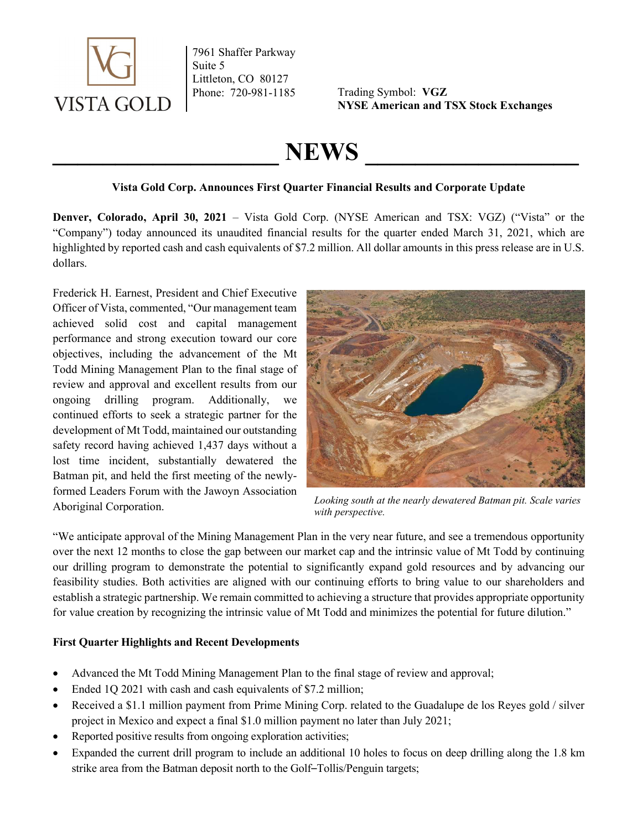

7961 Shaffer Parkway Suite 5 Littleton, CO 80127

Phone: 720-981-1185 Trading Symbol: VGZ NYSE American and TSX Stock Exchanges

# NEWS

## Vista Gold Corp. Announces First Quarter Financial Results and Corporate Update

Denver, Colorado, April 30, 2021 – Vista Gold Corp. (NYSE American and TSX: VGZ) ("Vista" or the "Company") today announced its unaudited financial results for the quarter ended March 31, 2021, which are highlighted by reported cash and cash equivalents of \$7.2 million. All dollar amounts in this press release are in U.S. dollars.

Frederick H. Earnest, President and Chief Executive Officer of Vista, commented, "Our management team achieved solid cost and capital management performance and strong execution toward our core objectives, including the advancement of the Mt Todd Mining Management Plan to the final stage of review and approval and excellent results from our ongoing drilling program. Additionally, we continued efforts to seek a strategic partner for the development of Mt Todd, maintained our outstanding safety record having achieved 1,437 days without a lost time incident, substantially dewatered the Batman pit, and held the first meeting of the newlyformed Leaders Forum with the Jawoyn Association Aboriginal Corporation.



Looking south at the nearly dewatered Batman pit. Scale varies with perspective.

"We anticipate approval of the Mining Management Plan in the very near future, and see a tremendous opportunity over the next 12 months to close the gap between our market cap and the intrinsic value of Mt Todd by continuing our drilling program to demonstrate the potential to significantly expand gold resources and by advancing our feasibility studies. Both activities are aligned with our continuing efforts to bring value to our shareholders and establish a strategic partnership. We remain committed to achieving a structure that provides appropriate opportunity for value creation by recognizing the intrinsic value of Mt Todd and minimizes the potential for future dilution."

## First Quarter Highlights and Recent Developments

- Advanced the Mt Todd Mining Management Plan to the final stage of review and approval;
- Ended 1Q 2021 with cash and cash equivalents of \$7.2 million;
- Received a \$1.1 million payment from Prime Mining Corp. related to the Guadalupe de los Reyes gold / silver project in Mexico and expect a final \$1.0 million payment no later than July 2021;
- Reported positive results from ongoing exploration activities;
- Expanded the current drill program to include an additional 10 holes to focus on deep drilling along the 1.8 km strike area from the Batman deposit north to the Golf–Tollis/Penguin targets;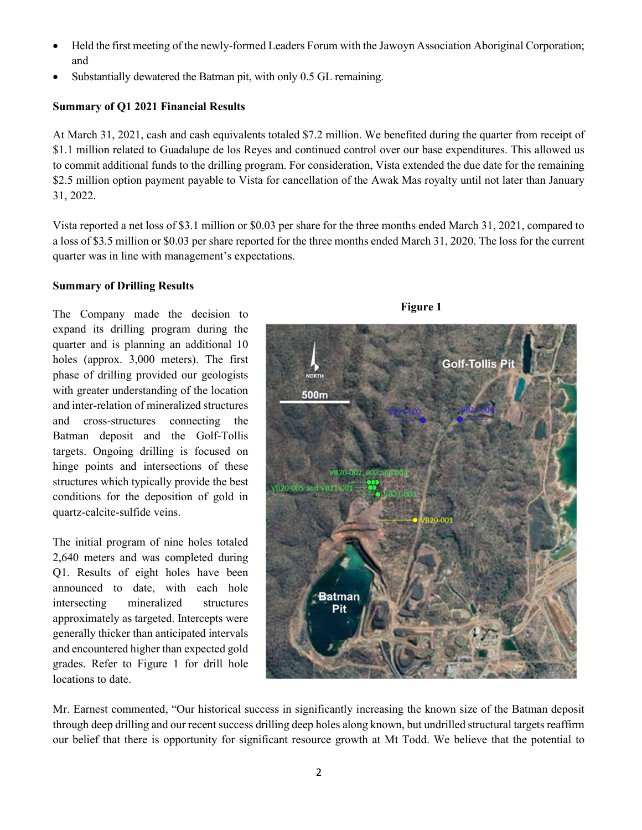- Held the first meeting of the newly-formed Leaders Forum with the Jawoyn Association Aboriginal Corporation; and
- Substantially dewatered the Batman pit, with only 0.5 GL remaining.

## Summary of Q1 2021 Financial Results

At March 31, 2021, cash and cash equivalents totaled \$7.2 million. We benefited during the quarter from receipt of \$1.1 million related to Guadalupe de los Reyes and continued control over our base expenditures. This allowed us to commit additional funds to the drilling program. For consideration, Vista extended the due date for the remaining \$2.5 million option payment payable to Vista for cancellation of the Awak Mas royalty until not later than January 31, 2022.

Vista reported a net loss of \$3.1 million or \$0.03 per share for the three months ended March 31, 2021, compared to a loss of \$3.5 million or \$0.03 per share reported for the three months ended March 31, 2020. The loss for the current quarter was in line with management's expectations.

#### Summary of Drilling Results

The Company made the decision to expand its drilling program during the quarter and is planning an additional 10 holes (approx. 3,000 meters). The first phase of drilling provided our geologists with greater understanding of the location and inter-relation of mineralized structures and cross-structures connecting the Batman deposit and the Golf-Tollis targets. Ongoing drilling is focused on hinge points and intersections of these structures which typically provide the best conditions for the deposition of gold in quartz-calcite-sulfide veins.

The initial program of nine holes totaled 2,640 meters and was completed during Q1. Results of eight holes have been announced to date, with each hole intersecting mineralized structures approximately as targeted. Intercepts were generally thicker than anticipated intervals and encountered higher than expected gold grades. Refer to Figure 1 for drill hole locations to date.





Mr. Earnest commented, "Our historical success in significantly increasing the known size of the Batman deposit through deep drilling and our recent success drilling deep holes along known, but undrilled structural targets reaffirm our belief that there is opportunity for significant resource growth at Mt Todd. We believe that the potential to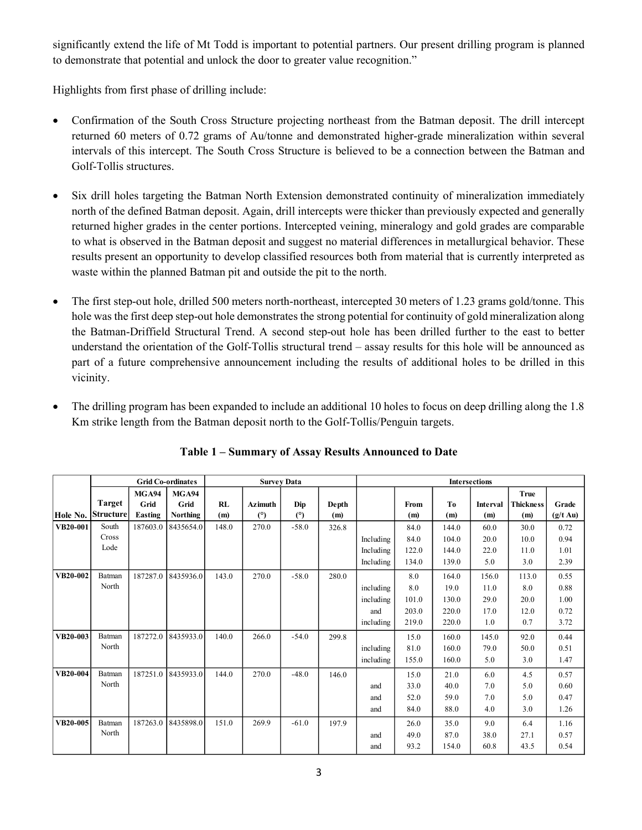significantly extend the life of Mt Todd is important to potential partners. Our present drilling program is planned to demonstrate that potential and unlock the door to greater value recognition."

Highlights from first phase of drilling include:

- Confirmation of the South Cross Structure projecting northeast from the Batman deposit. The drill intercept returned 60 meters of 0.72 grams of Au/tonne and demonstrated higher-grade mineralization within several intervals of this intercept. The South Cross Structure is believed to be a connection between the Batman and Golf-Tollis structures.
- Six drill holes targeting the Batman North Extension demonstrated continuity of mineralization immediately north of the defined Batman deposit. Again, drill intercepts were thicker than previously expected and generally returned higher grades in the center portions. Intercepted veining, mineralogy and gold grades are comparable to what is observed in the Batman deposit and suggest no material differences in metallurgical behavior. These results present an opportunity to develop classified resources both from material that is currently interpreted as waste within the planned Batman pit and outside the pit to the north.
- The first step-out hole, drilled 500 meters north-northeast, intercepted 30 meters of 1.23 grams gold/tonne. This hole was the first deep step-out hole demonstrates the strong potential for continuity of gold mineralization along the Batman-Driffield Structural Trend. A second step-out hole has been drilled further to the east to better understand the orientation of the Golf-Tollis structural trend – assay results for this hole will be announced as part of a future comprehensive announcement including the results of additional holes to be drilled in this vicinity. ering distinued Barman deposit. Again, drill intercepts were thicken interviously expected and generally<br>
Fr grades in the center portions. Intercepted veining, mineralogy and gold grades are comparable<br>
terved in the Bat
- The drilling program has been expanded to include an additional 10 holes to focus on deep drilling along the 1.8 Km strike length from the Batman deposit north to the Golf-Tollis/Penguin targets.

|                 |                   |                      | results present an opportunity to develop classified resources both from material that is currently interpreted as |       | waste within the planned Batman pit and outside the pit to the north.                                                                                                                                                                                                                                                                                                                                                                                                                                                                                                                        |         |       |           |       |       |                      |                                 |                    |
|-----------------|-------------------|----------------------|--------------------------------------------------------------------------------------------------------------------|-------|----------------------------------------------------------------------------------------------------------------------------------------------------------------------------------------------------------------------------------------------------------------------------------------------------------------------------------------------------------------------------------------------------------------------------------------------------------------------------------------------------------------------------------------------------------------------------------------------|---------|-------|-----------|-------|-------|----------------------|---------------------------------|--------------------|
| $\bullet$       | vicinity.         |                      |                                                                                                                    |       | The first step-out hole, drilled 500 meters north-northeast, intercepted 30 meters of 1.23 grams gold/tonne. This<br>hole was the first deep step-out hole demonstrates the strong potential for continuity of gold mineralization along<br>the Batman-Driffield Structural Trend. A second step-out hole has been drilled further to the east to better<br>understand the orientation of the Golf-Tollis structural trend - assay results for this hole will be announced as<br>part of a future comprehensive announcement including the results of additional holes to be drilled in this |         |       |           |       |       |                      |                                 |                    |
|                 |                   |                      |                                                                                                                    |       | The drilling program has been expanded to include an additional 10 holes to focus on deep drilling along the 1.8<br>Km strike length from the Batman deposit north to the Golf-Tollis/Penguin targets.<br>Table 1 – Summary of Assay Results Announced to Date                                                                                                                                                                                                                                                                                                                               |         |       |           |       |       |                      |                                 |                    |
|                 |                   |                      | <b>Grid Co-ordinates</b>                                                                                           |       | <b>Survey Data</b>                                                                                                                                                                                                                                                                                                                                                                                                                                                                                                                                                                           |         |       |           |       |       | <b>Intersections</b> |                                 |                    |
|                 | <b>Target</b>     | <b>MGA94</b><br>Grid | <b>MGA94</b><br>Grid                                                                                               | RL    | Azimuth                                                                                                                                                                                                                                                                                                                                                                                                                                                                                                                                                                                      | Dip     | Depth |           | From  | To    | Interval             | <b>True</b><br><b>Thickness</b> | Grade              |
| Hole No.        | <b>Structure</b>  | Easting              | <b>Northing</b>                                                                                                    | (m)   | (°)                                                                                                                                                                                                                                                                                                                                                                                                                                                                                                                                                                                          | (°)     | (m)   |           | (m)   | (m)   | (m)                  | (m)                             | $(g/t \text{ Au})$ |
| VB20-001        | South             | 187603.0             | 8435654.0                                                                                                          | 148.0 | 270.0                                                                                                                                                                                                                                                                                                                                                                                                                                                                                                                                                                                        | $-58.0$ | 326.8 |           | 84.0  | 144.0 | 60.0                 | 30.0                            | 0.72               |
|                 | Cross             |                      |                                                                                                                    |       |                                                                                                                                                                                                                                                                                                                                                                                                                                                                                                                                                                                              |         |       | Including | 84.0  | 104.0 | 20.0                 | 10.0                            | 0.94               |
|                 | Lode              |                      |                                                                                                                    |       |                                                                                                                                                                                                                                                                                                                                                                                                                                                                                                                                                                                              |         |       | Including | 122.0 | 144.0 | 22.0                 | 11.0                            | 1.01               |
|                 |                   |                      |                                                                                                                    |       |                                                                                                                                                                                                                                                                                                                                                                                                                                                                                                                                                                                              |         |       | Including | 134.0 | 139.0 | 5.0                  | 3.0                             | 2.39               |
| <b>VB20-002</b> | Batman            |                      | 187287.0 8435936.0                                                                                                 | 143.0 | 270.0                                                                                                                                                                                                                                                                                                                                                                                                                                                                                                                                                                                        | $-58.0$ | 280.0 |           | 8.0   | 164.0 | 156.0                | 113.0                           | 0.55               |
|                 | North             |                      |                                                                                                                    |       |                                                                                                                                                                                                                                                                                                                                                                                                                                                                                                                                                                                              |         |       | including | 8.0   | 19.0  | 11.0                 | 8.0                             | 0.88               |
|                 |                   |                      |                                                                                                                    |       |                                                                                                                                                                                                                                                                                                                                                                                                                                                                                                                                                                                              |         |       | including | 101.0 | 130.0 | 29.0                 | 20.0                            | 1.00               |
|                 |                   |                      |                                                                                                                    |       |                                                                                                                                                                                                                                                                                                                                                                                                                                                                                                                                                                                              |         |       | and       | 203.0 | 220.0 | 17.0                 | 12.0                            | 0.72               |
|                 |                   |                      |                                                                                                                    |       |                                                                                                                                                                                                                                                                                                                                                                                                                                                                                                                                                                                              |         |       | including | 219.0 | 220.0 | 1.0                  | 0.7                             | 3.72               |
| VB20-003        | Batman            |                      | 187272.0 8435933.0                                                                                                 | 140.0 | 266.0                                                                                                                                                                                                                                                                                                                                                                                                                                                                                                                                                                                        | $-54.0$ | 299.8 |           | 15.0  | 160.0 | 145.0                | 92.0                            | 0.44               |
|                 | North             |                      |                                                                                                                    |       |                                                                                                                                                                                                                                                                                                                                                                                                                                                                                                                                                                                              |         |       | including | 81.0  | 160.0 | 79.0                 | 50.0                            | 0.51               |
|                 |                   |                      |                                                                                                                    |       |                                                                                                                                                                                                                                                                                                                                                                                                                                                                                                                                                                                              |         |       | including | 155.0 | 160.0 | 5.0                  | 3.0                             | 1.47               |
| VB20-004        | Batman            |                      | 187251.0 8435933.0                                                                                                 | 144.0 | 270.0                                                                                                                                                                                                                                                                                                                                                                                                                                                                                                                                                                                        | $-48.0$ | 146.0 |           | 15.0  | 21.0  | 6.0                  | 4.5                             | 0.57               |
|                 | North             |                      |                                                                                                                    |       |                                                                                                                                                                                                                                                                                                                                                                                                                                                                                                                                                                                              |         |       | and       | 33.0  | 40.0  | 7.0                  | 5.0                             | 0.60               |
|                 |                   |                      |                                                                                                                    |       |                                                                                                                                                                                                                                                                                                                                                                                                                                                                                                                                                                                              |         |       | and       | 52.0  | 59.0  | 7.0                  | 5.0                             | 0.47               |
|                 |                   |                      |                                                                                                                    |       |                                                                                                                                                                                                                                                                                                                                                                                                                                                                                                                                                                                              |         |       | and       | 84.0  | 88.0  | 4.0                  | 3.0                             | 1.26               |
|                 |                   |                      |                                                                                                                    |       |                                                                                                                                                                                                                                                                                                                                                                                                                                                                                                                                                                                              |         |       |           | 26.0  | 35.0  | 9.0                  | 6.4                             | 1.16               |
|                 | $VB20-005$ Batman |                      | 187263.0 8435898.0                                                                                                 | 151.0 | 269.9                                                                                                                                                                                                                                                                                                                                                                                                                                                                                                                                                                                        | $-61.0$ | 197.9 |           |       |       |                      |                                 |                    |
|                 | North             |                      |                                                                                                                    |       |                                                                                                                                                                                                                                                                                                                                                                                                                                                                                                                                                                                              |         |       | and       | 49.0  | 87.0  | 38.0                 | 27.1                            | 0.57               |

Table 1 – Summary of Assay Results Announced to Date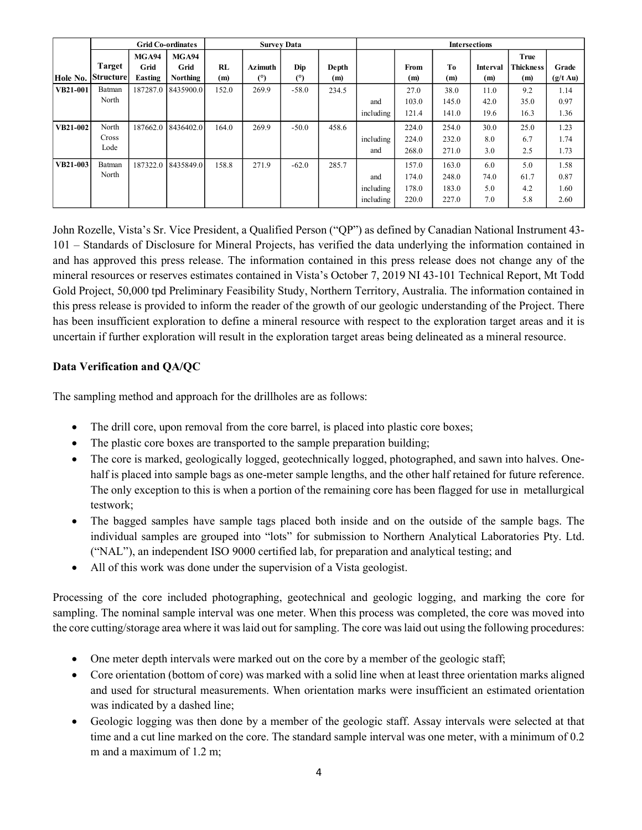|                      |                                     |                      | <b>Grid Co-ordinates</b>              |              | <b>Survey Data</b> |                |              |                         |                                  |                                  | <b>Intersections</b>      |                                 |                                    |
|----------------------|-------------------------------------|----------------------|---------------------------------------|--------------|--------------------|----------------|--------------|-------------------------|----------------------------------|----------------------------------|---------------------------|---------------------------------|------------------------------------|
|                      | <b>Target</b>                       | <b>MGA94</b><br>Grid | MGA94<br>Grid                         | <b>RL</b>    | <b>Azimuth</b>     | Dip            | Depth        |                         | From                             | T <sub>0</sub>                   | Interval                  | <b>True</b><br><b>Thickness</b> | Grade                              |
| Hole No.<br>VB21-001 | <b>Structure</b><br>Batman<br>North | Easting              | <b>Northing</b><br>187287.0 8435900.0 | (m)<br>152.0 | (°)<br>269.9       | (°)<br>$-58.0$ | (m)<br>234.5 | and                     | (m)<br>27.0<br>103.0             | (m)<br>38.0<br>145.0             | (m)<br>11.0<br>42.0       | (m)<br>9.2<br>35.0              | $(g/t \text{ Au})$<br>1.14<br>0.97 |
| VB21-002             | North<br>Cross                      |                      | 187662.0 8436402.0                    | 164.0        | 269.9              | $-50.0$        | 458.6        | including<br>including  | 121.4<br>224.0<br>224.0          | 141.0<br>254.0<br>232.0          | 19.6<br>30.0<br>8.0       | 16.3<br>25.0<br>6.7             | 1.36<br>1.23<br>1.74               |
| VB21-003             | Lode<br>Batman<br>North             |                      | 187322.0 8435849.0                    | 158.8        | 271.9              | $-62.0$        | 285.7        | and<br>and<br>including | 268.0<br>157.0<br>174.0<br>178.0 | 271.0<br>163.0<br>248.0<br>183.0 | 3.0<br>6.0<br>74.0<br>5.0 | 2.5<br>5.0<br>61.7<br>4.2       | 1.73<br>1.58<br>0.87<br>1.60       |

John Rozelle, Vista's Sr. Vice President, a Qualified Person ("QP") as defined by Canadian National Instrument 43- 101 – Standards of Disclosure for Mineral Projects, has verified the data underlying the information contained in and has approved this press release. The information contained in this press release does not change any of the mineral resources or reserves estimates contained in Vista's October 7, 2019 NI 43-101 Technical Report, Mt Todd Gold Project, 50,000 tpd Preliminary Feasibility Study, Northern Territory, Australia. The information contained in this press release is provided to inform the reader of the growth of our geologic understanding of the Project. There has been insufficient exploration to define a mineral resource with respect to the exploration target areas and it is uncertain if further exploration will result in the exploration target areas being delineated as a mineral resource.

## Data Verification and QA/QC

The sampling method and approach for the drillholes are as follows:

- The drill core, upon removal from the core barrel, is placed into plastic core boxes;
- The plastic core boxes are transported to the sample preparation building;
- The core is marked, geologically logged, geotechnically logged, photographed, and sawn into halves. Onehalf is placed into sample bags as one-meter sample lengths, and the other half retained for future reference. The only exception to this is when a portion of the remaining core has been flagged for use in metallurgical testwork;
- The bagged samples have sample tags placed both inside and on the outside of the sample bags. The individual samples are grouped into "lots" for submission to Northern Analytical Laboratories Pty. Ltd. ("NAL"), an independent ISO 9000 certified lab, for preparation and analytical testing; and
- All of this work was done under the supervision of a Vista geologist.

Processing of the core included photographing, geotechnical and geologic logging, and marking the core for sampling. The nominal sample interval was one meter. When this process was completed, the core was moved into the core cutting/storage area where it was laid out for sampling. The core was laid out using the following procedures:

- One meter depth intervals were marked out on the core by a member of the geologic staff;
- Core orientation (bottom of core) was marked with a solid line when at least three orientation marks aligned and used for structural measurements. When orientation marks were insufficient an estimated orientation was indicated by a dashed line;
- Geologic logging was then done by a member of the geologic staff. Assay intervals were selected at that time and a cut line marked on the core. The standard sample interval was one meter, with a minimum of 0.2 m and a maximum of 1.2 m;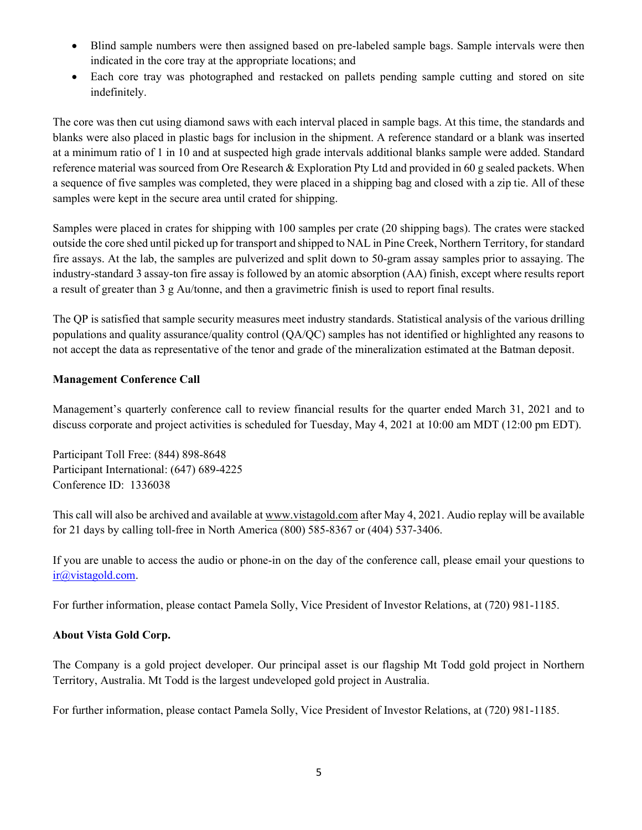- Blind sample numbers were then assigned based on pre-labeled sample bags. Sample intervals were then indicated in the core tray at the appropriate locations; and
- Each core tray was photographed and restacked on pallets pending sample cutting and stored on site indefinitely.

The core was then cut using diamond saws with each interval placed in sample bags. At this time, the standards and blanks were also placed in plastic bags for inclusion in the shipment. A reference standard or a blank was inserted at a minimum ratio of 1 in 10 and at suspected high grade intervals additional blanks sample were added. Standard reference material was sourced from Ore Research & Exploration Pty Ltd and provided in 60 g sealed packets. When a sequence of five samples was completed, they were placed in a shipping bag and closed with a zip tie. All of these samples were kept in the secure area until crated for shipping.

Samples were placed in crates for shipping with 100 samples per crate (20 shipping bags). The crates were stacked outside the core shed until picked up for transport and shipped to NAL in Pine Creek, Northern Territory, for standard fire assays. At the lab, the samples are pulverized and split down to 50-gram assay samples prior to assaying. The industry-standard 3 assay-ton fire assay is followed by an atomic absorption (AA) finish, except where results report a result of greater than 3 g Au/tonne, and then a gravimetric finish is used to report final results.

The QP is satisfied that sample security measures meet industry standards. Statistical analysis of the various drilling populations and quality assurance/quality control (QA/QC) samples has not identified or highlighted any reasons to not accept the data as representative of the tenor and grade of the mineralization estimated at the Batman deposit.

## Management Conference Call

Management's quarterly conference call to review financial results for the quarter ended March 31, 2021 and to discuss corporate and project activities is scheduled for Tuesday, May 4, 2021 at 10:00 am MDT (12:00 pm EDT).

Participant Toll Free: (844) 898-8648 Participant International: (647) 689-4225 Conference ID: 1336038

This call will also be archived and available at www.vistagold.com after May 4, 2021. Audio replay will be available for 21 days by calling toll-free in North America (800) 585-8367 or (404) 537-3406.

If you are unable to access the audio or phone-in on the day of the conference call, please email your questions to ir@vistagold.com.

For further information, please contact Pamela Solly, Vice President of Investor Relations, at (720) 981-1185.

#### About Vista Gold Corp.

The Company is a gold project developer. Our principal asset is our flagship Mt Todd gold project in Northern Territory, Australia. Mt Todd is the largest undeveloped gold project in Australia.

For further information, please contact Pamela Solly, Vice President of Investor Relations, at (720) 981-1185.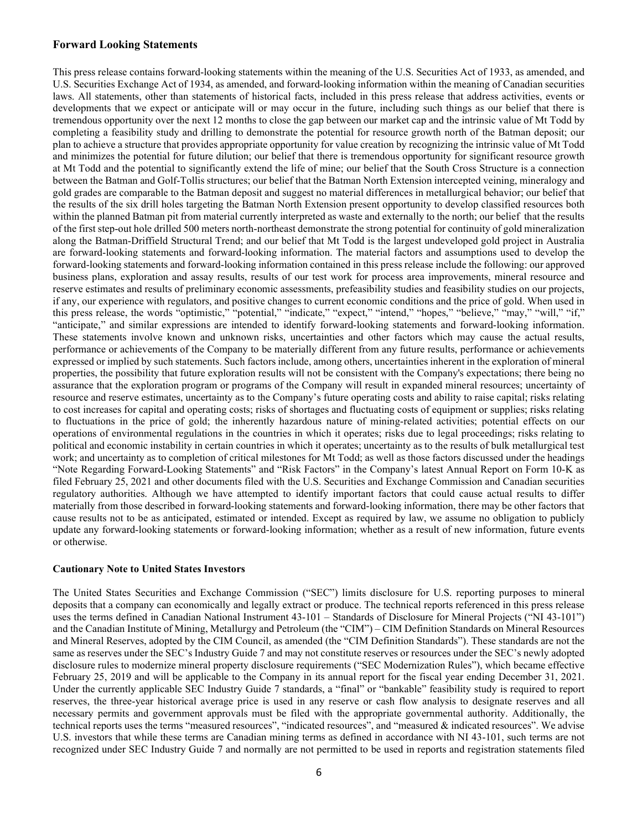#### Forward Looking Statements

This press release contains forward-looking statements within the meaning of the U.S. Securities Act of 1933, as amended, and U.S. Securities Exchange Act of 1934, as amended, and forward-looking information within the meaning of Canadian securities laws. All statements, other than statements of historical facts, included in this press release that address activities, events or developments that we expect or anticipate will or may occur in the future, including such things as our belief that there is tremendous opportunity over the next 12 months to close the gap between our market cap and the intrinsic value of Mt Todd by completing a feasibility study and drilling to demonstrate the potential for resource growth north of the Batman deposit; our plan to achieve a structure that provides appropriate opportunity for value creation by recognizing the intrinsic value of Mt Todd and minimizes the potential for future dilution; our belief that there is tremendous opportunity for significant resource growth at Mt Todd and the potential to significantly extend the life of mine; our belief that the South Cross Structure is a connection between the Batman and Golf-Tollis structures; our belief that the Batman North Extension intercepted veining, mineralogy and gold grades are comparable to the Batman deposit and suggest no material differences in metallurgical behavior; our belief that the results of the six drill holes targeting the Batman North Extension present opportunity to develop classified resources both within the planned Batman pit from material currently interpreted as waste and externally to the north; our belief that the results of the first step-out hole drilled 500 meters north-northeast demonstrate the strong potential for continuity of gold mineralization along the Batman-Driffield Structural Trend; and our belief that Mt Todd is the largest undeveloped gold project in Australia are forward-looking statements and forward-looking information. The material factors and assumptions used to develop the forward-looking statements and forward-looking information contained in this press release include the following: our approved business plans, exploration and assay results, results of our test work for process area improvements, mineral resource and reserve estimates and results of preliminary economic assessments, prefeasibility studies and feasibility studies on our projects, if any, our experience with regulators, and positive changes to current economic conditions and the price of gold. When used in this press release, the words "optimistic," "potential," "indicate," "expect," "intend," "hopes," "believe," "may," "will," "if," "anticipate," and similar expressions are intended to identify forward-looking statements and forward-looking information. These statements involve known and unknown risks, uncertainties and other factors which may cause the actual results, performance or achievements of the Company to be materially different from any future results, performance or achievements expressed or implied by such statements. Such factors include, among others, uncertainties inherent in the exploration of mineral properties, the possibility that future exploration results will not be consistent with the Company's expectations; there being no assurance that the exploration program or programs of the Company will result in expanded mineral resources; uncertainty of resource and reserve estimates, uncertainty as to the Company's future operating costs and ability to raise capital; risks relating to cost increases for capital and operating costs; risks of shortages and fluctuating costs of equipment or supplies; risks relating to fluctuations in the price of gold; the inherently hazardous nature of mining-related activities; potential effects on our operations of environmental regulations in the countries in which it operates; risks due to legal proceedings; risks relating to political and economic instability in certain countries in which it operates; uncertainty as to the results of bulk metallurgical test work; and uncertainty as to completion of critical milestones for Mt Todd; as well as those factors discussed under the headings "Note Regarding Forward-Looking Statements" and "Risk Factors" in the Company's latest Annual Report on Form 10-K as filed February 25, 2021 and other documents filed with the U.S. Securities and Exchange Commission and Canadian securities regulatory authorities. Although we have attempted to identify important factors that could cause actual results to differ materially from those described in forward-looking statements and forward-looking information, there may be other factors that cause results not to be as anticipated, estimated or intended. Except as required by law, we assume no obligation to publicly update any forward-looking statements or forward-looking information; whether as a result of new information, future events or otherwise.

#### Cautionary Note to United States Investors

The United States Securities and Exchange Commission ("SEC") limits disclosure for U.S. reporting purposes to mineral deposits that a company can economically and legally extract or produce. The technical reports referenced in this press release uses the terms defined in Canadian National Instrument 43-101 – Standards of Disclosure for Mineral Projects ("NI 43-101") and the Canadian Institute of Mining, Metallurgy and Petroleum (the "CIM") – CIM Definition Standards on Mineral Resources and Mineral Reserves, adopted by the CIM Council, as amended (the "CIM Definition Standards"). These standards are not the same as reserves under the SEC's Industry Guide 7 and may not constitute reserves or resources under the SEC's newly adopted disclosure rules to modernize mineral property disclosure requirements ("SEC Modernization Rules"), which became effective February 25, 2019 and will be applicable to the Company in its annual report for the fiscal year ending December 31, 2021. Under the currently applicable SEC Industry Guide 7 standards, a "final" or "bankable" feasibility study is required to report reserves, the three-year historical average price is used in any reserve or cash flow analysis to designate reserves and all necessary permits and government approvals must be filed with the appropriate governmental authority. Additionally, the technical reports uses the terms "measured resources", "indicated resources", and "measured & indicated resources". We advise U.S. investors that while these terms are Canadian mining terms as defined in accordance with NI 43-101, such terms are not recognized under SEC Industry Guide 7 and normally are not permitted to be used in reports and registration statements filed